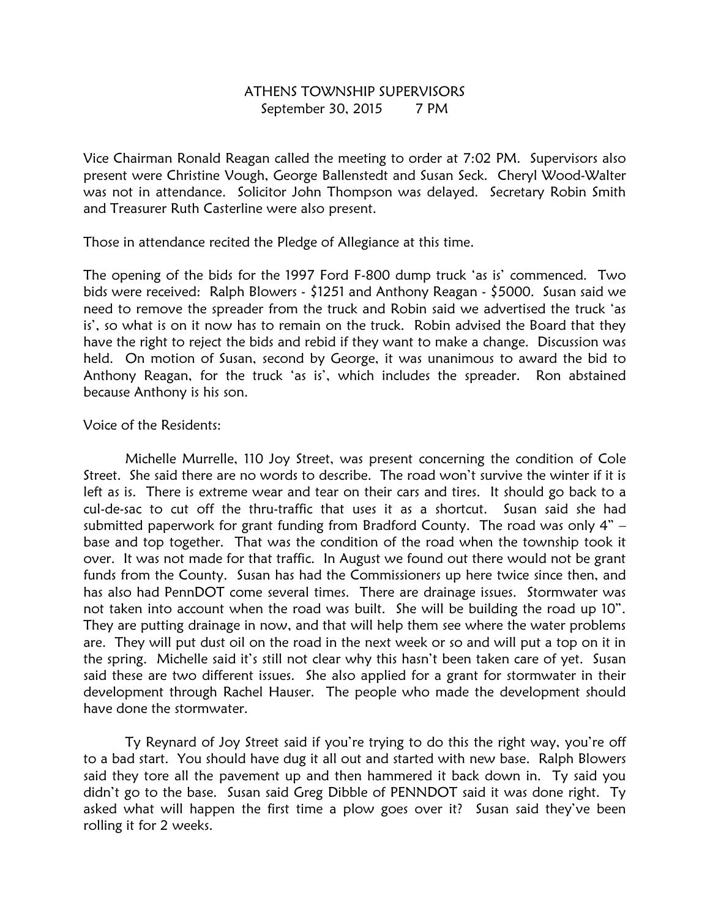## ATHENS TOWNSHIP SUPERVISORS September 30, 2015 7 PM

Vice Chairman Ronald Reagan called the meeting to order at 7:02 PM. Supervisors also present were Christine Vough, George Ballenstedt and Susan Seck. Cheryl Wood-Walter was not in attendance. Solicitor John Thompson was delayed. Secretary Robin Smith and Treasurer Ruth Casterline were also present.

Those in attendance recited the Pledge of Allegiance at this time.

The opening of the bids for the 1997 Ford F-800 dump truck 'as is' commenced. Two bids were received: Ralph Blowers - \$1251 and Anthony Reagan - \$5000. Susan said we need to remove the spreader from the truck and Robin said we advertised the truck 'as is', so what is on it now has to remain on the truck. Robin advised the Board that they have the right to reject the bids and rebid if they want to make a change. Discussion was held. On motion of Susan, second by George, it was unanimous to award the bid to Anthony Reagan, for the truck 'as is', which includes the spreader. Ron abstained because Anthony is his son.

## Voice of the Residents:

 Michelle Murrelle, 110 Joy Street, was present concerning the condition of Cole Street. She said there are no words to describe. The road won't survive the winter if it is left as is. There is extreme wear and tear on their cars and tires. It should go back to a cul-de-sac to cut off the thru-traffic that uses it as a shortcut. Susan said she had submitted paperwork for grant funding from Bradford County. The road was only 4" – base and top together. That was the condition of the road when the township took it over. It was not made for that traffic. In August we found out there would not be grant funds from the County. Susan has had the Commissioners up here twice since then, and has also had PennDOT come several times. There are drainage issues. Stormwater was not taken into account when the road was built. She will be building the road up 10". They are putting drainage in now, and that will help them see where the water problems are. They will put dust oil on the road in the next week or so and will put a top on it in the spring. Michelle said it's still not clear why this hasn't been taken care of yet. Susan said these are two different issues. She also applied for a grant for stormwater in their development through Rachel Hauser. The people who made the development should have done the stormwater.

 Ty Reynard of Joy Street said if you're trying to do this the right way, you're off to a bad start. You should have dug it all out and started with new base. Ralph Blowers said they tore all the pavement up and then hammered it back down in. Ty said you didn't go to the base. Susan said Greg Dibble of PENNDOT said it was done right. Ty asked what will happen the first time a plow goes over it? Susan said they've been rolling it for 2 weeks.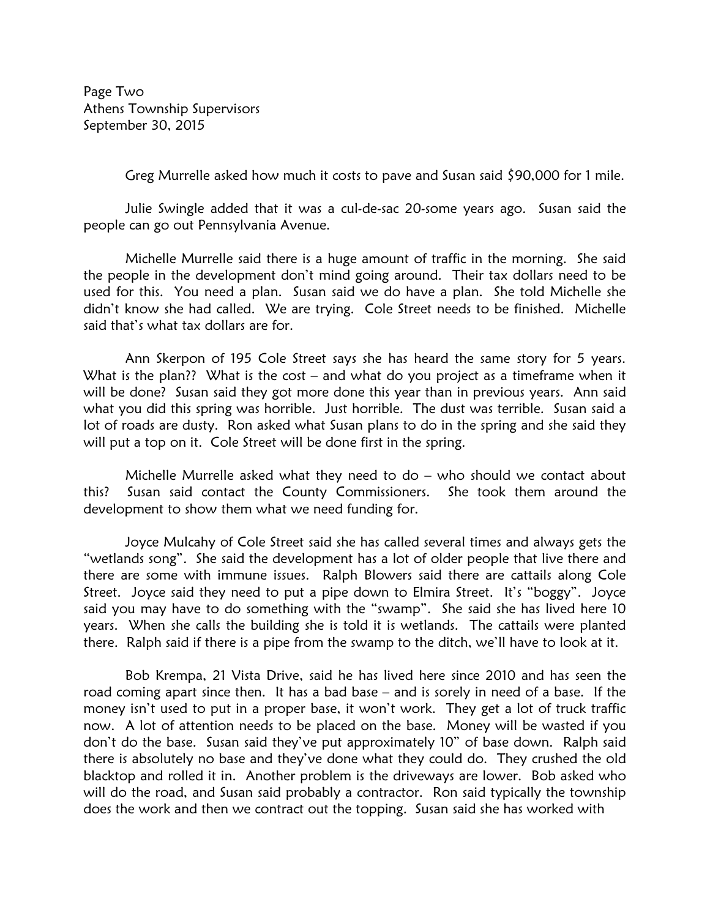Page Two Athens Township Supervisors September 30, 2015

Greg Murrelle asked how much it costs to pave and Susan said \$90,000 for 1 mile.

 Julie Swingle added that it was a cul-de-sac 20-some years ago. Susan said the people can go out Pennsylvania Avenue.

 Michelle Murrelle said there is a huge amount of traffic in the morning. She said the people in the development don't mind going around. Their tax dollars need to be used for this. You need a plan. Susan said we do have a plan. She told Michelle she didn't know she had called. We are trying. Cole Street needs to be finished. Michelle said that's what tax dollars are for.

 Ann Skerpon of 195 Cole Street says she has heard the same story for 5 years. What is the plan?? What is the cost – and what do you project as a timeframe when it will be done? Susan said they got more done this year than in previous years. Ann said what you did this spring was horrible. Just horrible. The dust was terrible. Susan said a lot of roads are dusty. Ron asked what Susan plans to do in the spring and she said they will put a top on it. Cole Street will be done first in the spring.

 Michelle Murrelle asked what they need to do – who should we contact about this? Susan said contact the County Commissioners. She took them around the development to show them what we need funding for.

 Joyce Mulcahy of Cole Street said she has called several times and always gets the "wetlands song". She said the development has a lot of older people that live there and there are some with immune issues. Ralph Blowers said there are cattails along Cole Street. Joyce said they need to put a pipe down to Elmira Street. It's "boggy". Joyce said you may have to do something with the "swamp". She said she has lived here 10 years. When she calls the building she is told it is wetlands. The cattails were planted there. Ralph said if there is a pipe from the swamp to the ditch, we'll have to look at it.

 Bob Krempa, 21 Vista Drive, said he has lived here since 2010 and has seen the road coming apart since then. It has a bad base – and is sorely in need of a base. If the money isn't used to put in a proper base, it won't work. They get a lot of truck traffic now. A lot of attention needs to be placed on the base. Money will be wasted if you don't do the base. Susan said they've put approximately 10" of base down. Ralph said there is absolutely no base and they've done what they could do. They crushed the old blacktop and rolled it in. Another problem is the driveways are lower. Bob asked who will do the road, and Susan said probably a contractor. Ron said typically the township does the work and then we contract out the topping. Susan said she has worked with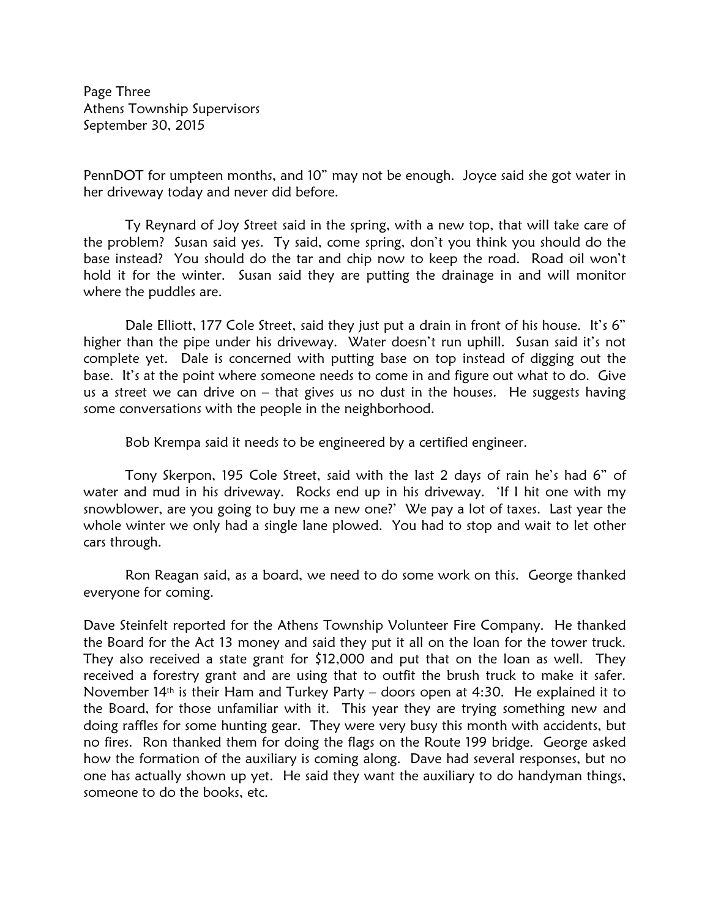Page Three Athens Township Supervisors September 30, 2015

PennDOT for umpteen months, and 10" may not be enough. Joyce said she got water in her driveway today and never did before.

Ty Reynard of Joy Street said in the spring, with a new top, that will take care of the problem? Susan said yes. Ty said, come spring, don't you think you should do the base instead? You should do the tar and chip now to keep the road. Road oil won't hold it for the winter. Susan said they are putting the drainage in and will monitor where the puddles are.

Dale Elliott, 177 Cole Street, said they just put a drain in front of his house. It's 6" higher than the pipe under his driveway. Water doesn't run uphill. Susan said it's not complete yet. Dale is concerned with putting base on top instead of digging out the base. It's at the point where someone needs to come in and figure out what to do. Give us a street we can drive on – that gives us no dust in the houses. He suggests having some conversations with the people in the neighborhood.

Bob Krempa said it needs to be engineered by a certified engineer.

 Tony Skerpon, 195 Cole Street, said with the last 2 days of rain he's had 6" of water and mud in his driveway. Rocks end up in his driveway. 'If I hit one with my snowblower, are you going to buy me a new one?' We pay a lot of taxes. Last year the whole winter we only had a single lane plowed. You had to stop and wait to let other cars through.

 Ron Reagan said, as a board, we need to do some work on this. George thanked everyone for coming.

Dave Steinfelt reported for the Athens Township Volunteer Fire Company. He thanked the Board for the Act 13 money and said they put it all on the loan for the tower truck. They also received a state grant for \$12,000 and put that on the loan as well. They received a forestry grant and are using that to outfit the brush truck to make it safer. November 14th is their Ham and Turkey Party – doors open at 4:30. He explained it to the Board, for those unfamiliar with it. This year they are trying something new and doing raffles for some hunting gear. They were very busy this month with accidents, but no fires. Ron thanked them for doing the flags on the Route 199 bridge. George asked how the formation of the auxiliary is coming along. Dave had several responses, but no one has actually shown up yet. He said they want the auxiliary to do handyman things, someone to do the books, etc.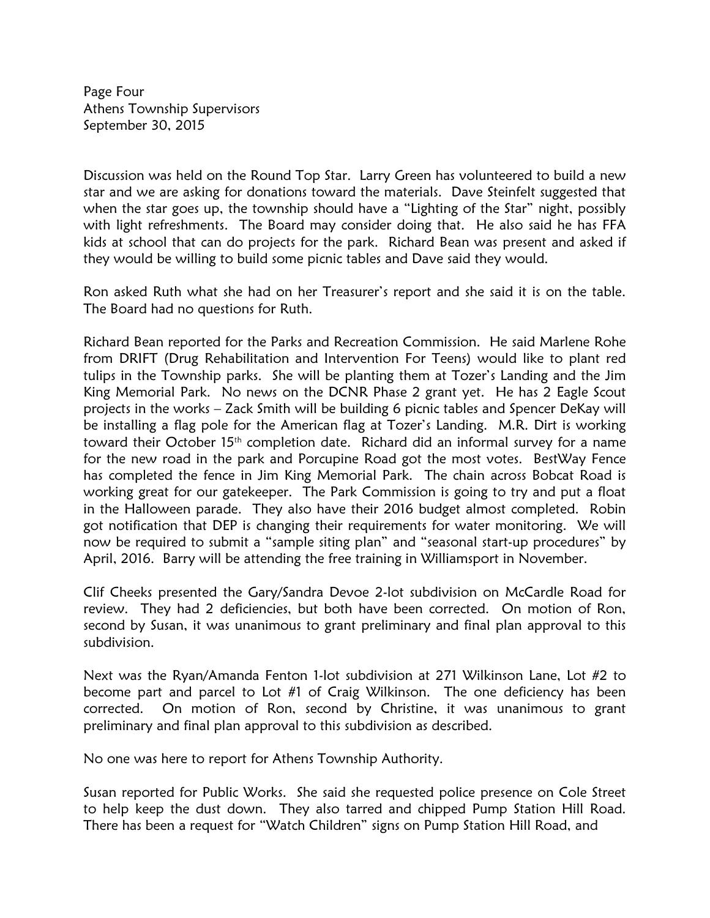Page Four Athens Township Supervisors September 30, 2015

Discussion was held on the Round Top Star. Larry Green has volunteered to build a new star and we are asking for donations toward the materials. Dave Steinfelt suggested that when the star goes up, the township should have a "Lighting of the Star" night, possibly with light refreshments. The Board may consider doing that. He also said he has FFA kids at school that can do projects for the park. Richard Bean was present and asked if they would be willing to build some picnic tables and Dave said they would.

Ron asked Ruth what she had on her Treasurer's report and she said it is on the table. The Board had no questions for Ruth.

Richard Bean reported for the Parks and Recreation Commission. He said Marlene Rohe from DRIFT (Drug Rehabilitation and Intervention For Teens) would like to plant red tulips in the Township parks. She will be planting them at Tozer's Landing and the Jim King Memorial Park. No news on the DCNR Phase 2 grant yet. He has 2 Eagle Scout projects in the works – Zack Smith will be building 6 picnic tables and Spencer DeKay will be installing a flag pole for the American flag at Tozer's Landing. M.R. Dirt is working toward their October 15th completion date. Richard did an informal survey for a name for the new road in the park and Porcupine Road got the most votes. BestWay Fence has completed the fence in Jim King Memorial Park. The chain across Bobcat Road is working great for our gatekeeper. The Park Commission is going to try and put a float in the Halloween parade. They also have their 2016 budget almost completed. Robin got notification that DEP is changing their requirements for water monitoring. We will now be required to submit a "sample siting plan" and "seasonal start-up procedures" by April, 2016. Barry will be attending the free training in Williamsport in November.

Clif Cheeks presented the Gary/Sandra Devoe 2-lot subdivision on McCardle Road for review. They had 2 deficiencies, but both have been corrected. On motion of Ron, second by Susan, it was unanimous to grant preliminary and final plan approval to this subdivision.

Next was the Ryan/Amanda Fenton 1-lot subdivision at 271 Wilkinson Lane, Lot #2 to become part and parcel to Lot #1 of Craig Wilkinson. The one deficiency has been corrected. On motion of Ron, second by Christine, it was unanimous to grant preliminary and final plan approval to this subdivision as described.

No one was here to report for Athens Township Authority.

Susan reported for Public Works. She said she requested police presence on Cole Street to help keep the dust down. They also tarred and chipped Pump Station Hill Road. There has been a request for "Watch Children" signs on Pump Station Hill Road, and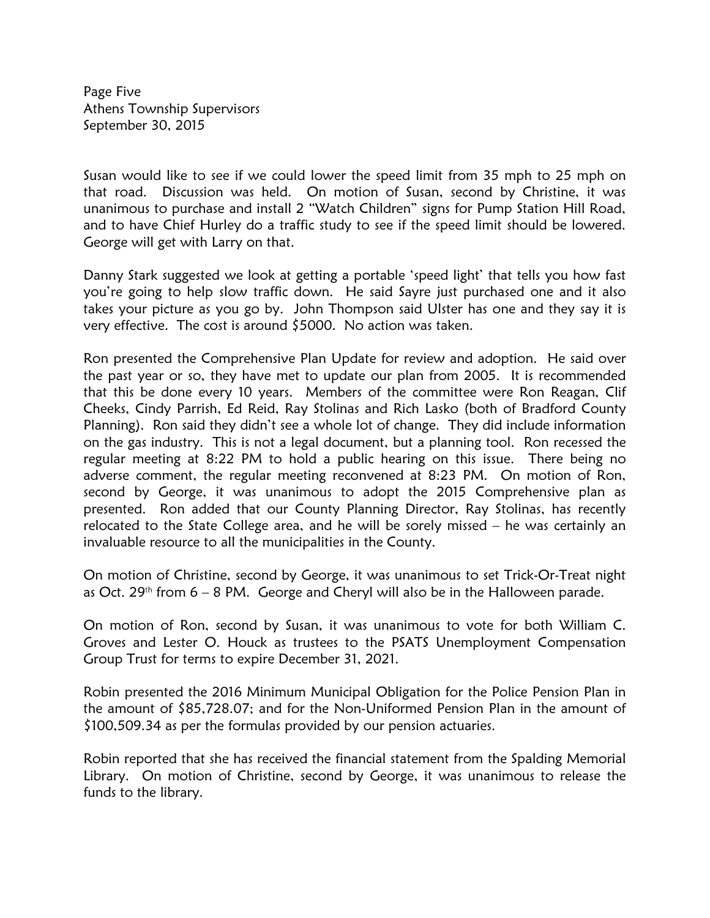Page Five Athens Township Supervisors September 30, 2015

Susan would like to see if we could lower the speed limit from 35 mph to 25 mph on that road. Discussion was held. On motion of Susan, second by Christine, it was unanimous to purchase and install 2 "Watch Children" signs for Pump Station Hill Road, and to have Chief Hurley do a traffic study to see if the speed limit should be lowered. George will get with Larry on that.

Danny Stark suggested we look at getting a portable 'speed light' that tells you how fast you're going to help slow traffic down. He said Sayre just purchased one and it also takes your picture as you go by. John Thompson said Ulster has one and they say it is very effective. The cost is around \$5000. No action was taken.

Ron presented the Comprehensive Plan Update for review and adoption. He said over the past year or so, they have met to update our plan from 2005. It is recommended that this be done every 10 years. Members of the committee were Ron Reagan, Clif Cheeks, Cindy Parrish, Ed Reid, Ray Stolinas and Rich Lasko (both of Bradford County Planning). Ron said they didn't see a whole lot of change. They did include information on the gas industry. This is not a legal document, but a planning tool. Ron recessed the regular meeting at 8:22 PM to hold a public hearing on this issue. There being no adverse comment, the regular meeting reconvened at 8:23 PM. On motion of Ron, second by George, it was unanimous to adopt the 2015 Comprehensive plan as presented. Ron added that our County Planning Director, Ray Stolinas, has recently relocated to the State College area, and he will be sorely missed – he was certainly an invaluable resource to all the municipalities in the County.

On motion of Christine, second by George, it was unanimous to set Trick-Or-Treat night as Oct. 29<sup>th</sup> from  $6 - 8$  PM. George and Cheryl will also be in the Halloween parade.

On motion of Ron, second by Susan, it was unanimous to vote for both William C. Groves and Lester O. Houck as trustees to the PSATS Unemployment Compensation Group Trust for terms to expire December 31, 2021.

Robin presented the 2016 Minimum Municipal Obligation for the Police Pension Plan in the amount of \$85,728.07; and for the Non-Uniformed Pension Plan in the amount of \$100,509.34 as per the formulas provided by our pension actuaries.

Robin reported that she has received the financial statement from the Spalding Memorial Library. On motion of Christine, second by George, it was unanimous to release the funds to the library.